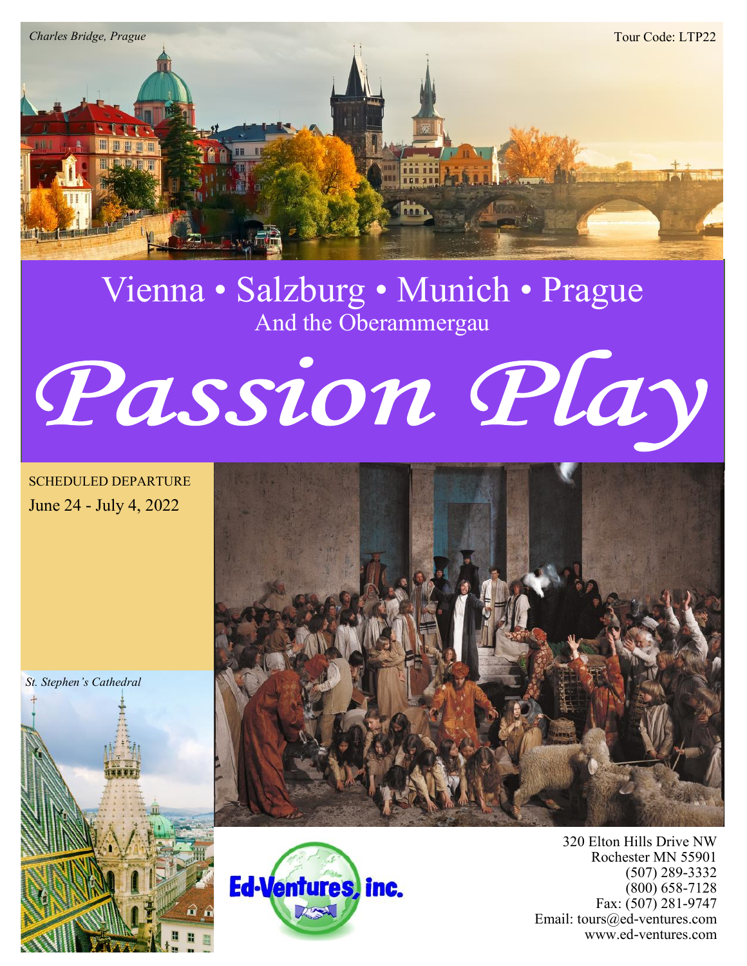

# Vienna • Salzburg • Munich • Prague And the Oberammergau



SCHEDULED DEPARTURE June 24 - July 4, 2022

*St. Stephen's Cathedral*







320 Elton Hills Drive NW Rochester MN 55901 (507) 289-3332 (800) 658-7128 Fax: (507) 281-9747 Email: tours@ed-ventures.com www.ed-ventures.com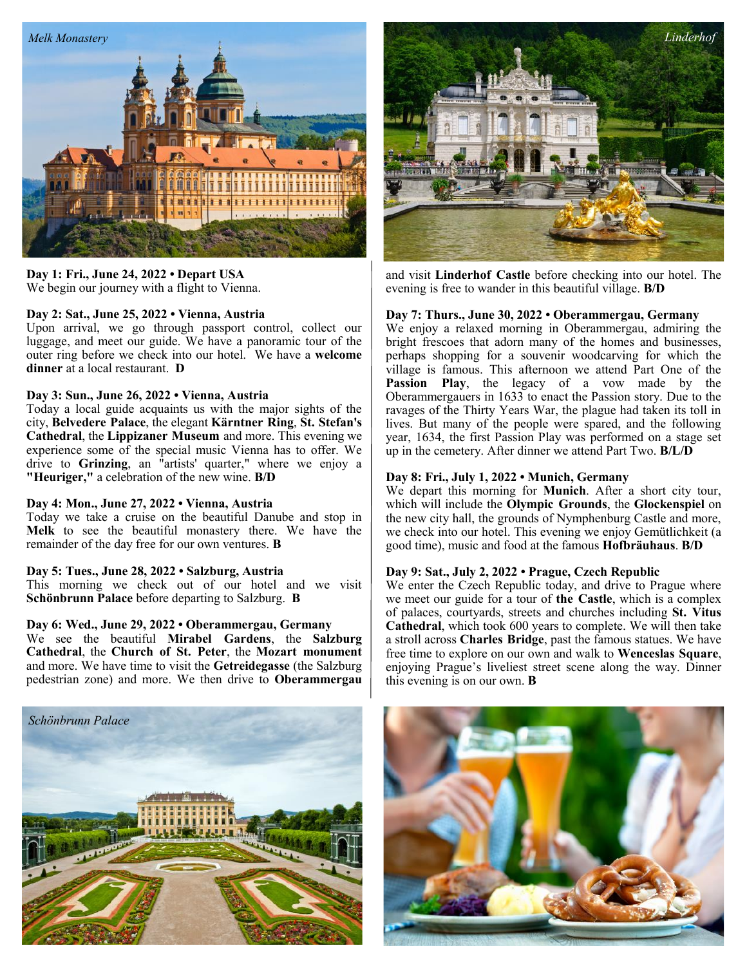

## **Day 1: Fri., June 24, 2022 • Depart USA** We begin our journey with a flight to Vienna.

# **Day 2: Sat., June 25, 2022 • Vienna, Austria**

Upon arrival, we go through passport control, collect our luggage, and meet our guide. We have a panoramic tour of the outer ring before we check into our hotel. We have a **welcome dinner** at a local restaurant. **D**

#### **Day 3: Sun., June 26, 2022 • Vienna, Austria**

Today a local guide acquaints us with the major sights of the city, **Belvedere Palace**, the elegant **Kärntner Ring**, **St. Stefan's Cathedral**, the **Lippizaner Museum** and more. This evening we experience some of the special music Vienna has to offer. We drive to **Grinzing**, an "artists' quarter," where we enjoy a **"Heuriger,"** a celebration of the new wine. **B/D**

# **Day 4: Mon., June 27, 2022 • Vienna, Austria**

Today we take a cruise on the beautiful Danube and stop in **Melk** to see the beautiful monastery there. We have the remainder of the day free for our own ventures. **B**

#### **Day 5: Tues., June 28, 2022 • Salzburg, Austria**

This morning we check out of our hotel and we visit **Schönbrunn Palace** before departing to Salzburg. **B**

# **Day 6: Wed., June 29, 2022 • Oberammergau, Germany**

We see the beautiful **Mirabel Gardens**, the **Salzburg Cathedral**, the **Church of St. Peter**, the **Mozart monument** and more. We have time to visit the **Getreidegasse** (the Salzburg pedestrian zone) and more. We then drive to **Oberammergau**





and visit **Linderhof Castle** before checking into our hotel. The evening is free to wander in this beautiful village. **B/D**

#### **Day 7: Thurs., June 30, 2022 • Oberammergau, Germany**

We enjoy a relaxed morning in Oberammergau, admiring the bright frescoes that adorn many of the homes and businesses, perhaps shopping for a souvenir woodcarving for which the village is famous. This afternoon we attend Part One of the **Passion Play**, the legacy of a vow made by the Oberammergauers in 1633 to enact the Passion story. Due to the ravages of the Thirty Years War, the plague had taken its toll in lives. But many of the people were spared, and the following year, 1634, the first Passion Play was performed on a stage set up in the cemetery. After dinner we attend Part Two. **B/L/D**

## **Day 8: Fri., July 1, 2022 • Munich, Germany**

We depart this morning for **Munich**. After a short city tour, which will include the **Olympic Grounds**, the **Glockenspiel** on the new city hall, the grounds of Nymphenburg Castle and more, we check into our hotel. This evening we enjoy Gemütlichkeit (a good time), music and food at the famous **Hofbräuhaus**. **B/D**

# **Day 9: Sat., July 2, 2022 • Prague, Czech Republic**

We enter the Czech Republic today, and drive to Prague where we meet our guide for a tour of **the Castle**, which is a complex of palaces, courtyards, streets and churches including **St. Vitus Cathedral**, which took 600 years to complete. We will then take a stroll across **Charles Bridge**, past the famous statues. We have free time to explore on our own and walk to **Wenceslas Square**, enjoying Prague's liveliest street scene along the way. Dinner this evening is on our own. **B**

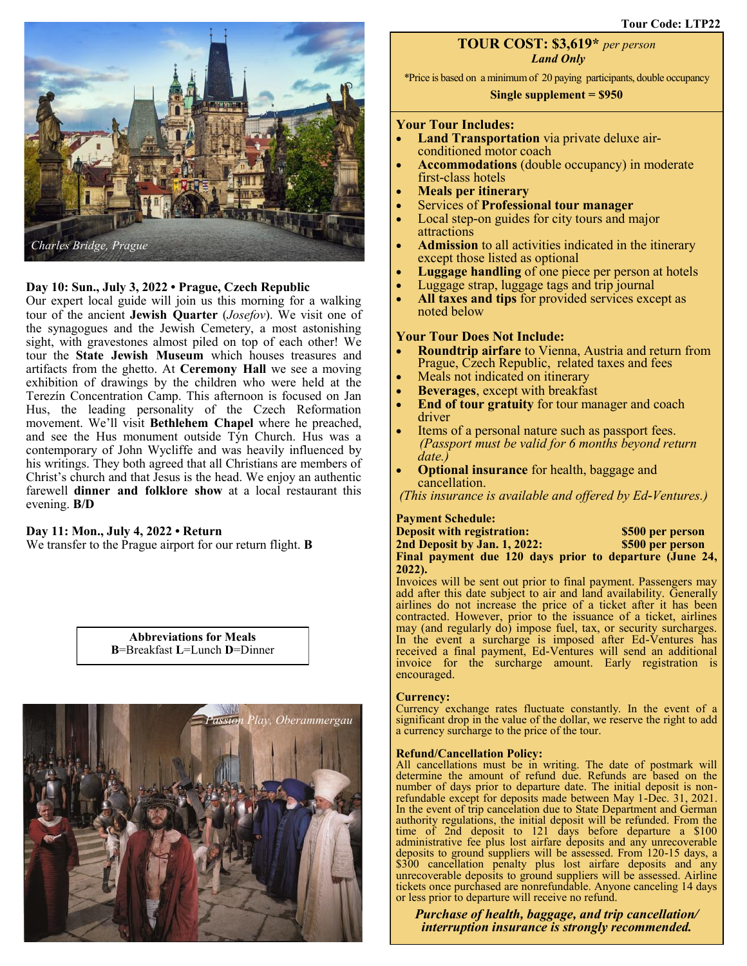

# **Day 10: Sun., July 3, 2022 • Prague, Czech Republic**

Our expert local guide will join us this morning for a walking tour of the ancient **Jewish Quarter** (*Josefov*). We visit one of the synagogues and the Jewish Cemetery, a most astonishing sight, with gravestones almost piled on top of each other! We tour the **State Jewish Museum** which houses treasures and artifacts from the ghetto. At **Ceremony Hall** we see a moving exhibition of drawings by the children who were held at the Terezín Concentration Camp. This afternoon is focused on Jan Hus, the leading personality of the Czech Reformation movement. We'll visit **Bethlehem Chapel** where he preached, and see the Hus monument outside Týn Church. Hus was a contemporary of John Wycliffe and was heavily influenced by his writings. They both agreed that all Christians are members of Christ's church and that Jesus is the head. We enjoy an authentic farewell **dinner and folklore show** at a local restaurant this evening. **B/D**

#### **Day 11: Mon., July 4, 2022 • Return**

We transfer to the Prague airport for our return flight. **B**

**Abbreviations for Meals B**=Breakfast **L**=Lunch **D**=Dinner



# **TOUR COST: \$3,619\*** *per person Land Only*

\*Price is based on a minimum of 20 paying participants, double occupancy

# **Single supplement = \$950**

#### **Your Tour Includes:**

- **Land Transportation** via private deluxe airconditioned motor coach
- **Accommodations** (double occupancy) in moderate first-class hotels
- **Meals per itinerary**
- Services of **Professional tour manager**
- Local step-on guides for city tours and major attractions
- **Admission** to all activities indicated in the itinerary except those listed as optional
- **Luggage handling** of one piece per person at hotels
- Luggage strap, luggage tags and trip journal
- **All taxes and tips** for provided services except as noted below

#### **Your Tour Does Not Include:**

- **Roundtrip airfare** to Vienna, Austria and return from Prague, Czech Republic, related taxes and fees
- Meals not indicated on itinerary
- **Beverages**, except with breakfast
- **End of tour gratuity** for tour manager and coach driver
- Items of a personal nature such as passport fees. *(Passport must be valid for 6 months beyond return date.)*
- **Optional insurance** for health, baggage and cancellation.

*(This insurance is available and offered by Ed-Ventures.)*

# **Payment Schedule:**

**Deposit with registration: \$500 per person 2nd Deposit by Jan. 1, 2022: \$500 per person Final payment due 120 days prior to departure (June 24, 2022).**

Invoices will be sent out prior to final payment. Passengers may add after this date subject to air and land availability. Generally airlines do not increase the price of a ticket after it has been contracted. However, prior to the issuance of a ticket, airlines may (and regularly do) impose fuel, tax, or security surcharges. In the event a surcharge is imposed after Ed-Ventures has received a final payment, Ed-Ventures will send an additional invoice for the surcharge amount. Early registration is encouraged.

#### **Currency:**

Currency exchange rates fluctuate constantly. In the event of a significant drop in the value of the dollar, we reserve the right to add a currency surcharge to the price of the tour.

#### **Refund/Cancellation Policy:**

All cancellations must be in writing. The date of postmark will determine the amount of refund due. Refunds are based on the number of days prior to departure date. The initial deposit is nonrefundable except for deposits made between May 1-Dec. 31, 2021. In the event of trip cancelation due to State Department and German authority regulations, the initial deposit will be refunded. From the time of 2nd deposit to 121 days before departure a \$100 administrative fee plus lost airfare deposits and any unrecoverable deposits to ground suppliers will be assessed. From 120-15 days, a \$300 cancellation penalty plus lost airfare deposits and any unrecoverable deposits to ground suppliers will be assessed. Airline tickets once purchased are nonrefundable. Anyone canceling 14 days or less prior to departure will receive no refund.

*Purchase of health, baggage, and trip cancellation/ interruption insurance is strongly recommended.*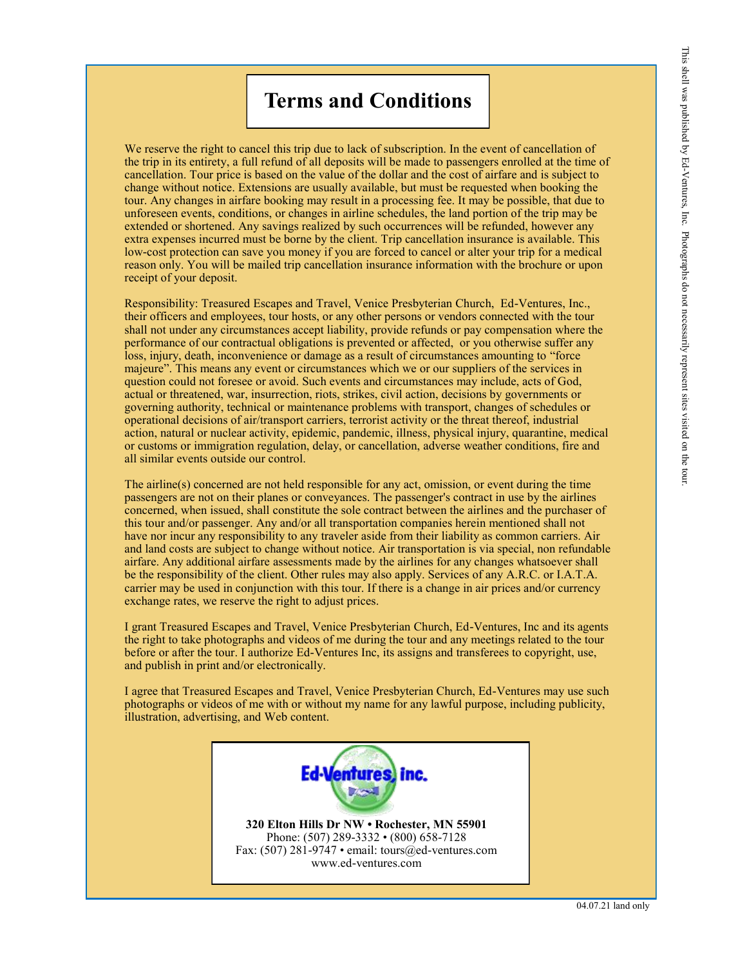# **Terms and Conditions**

We reserve the right to cancel this trip due to lack of subscription. In the event of cancellation of the trip in its entirety, a full refund of all deposits will be made to passengers enrolled at the time of cancellation. Tour price is based on the value of the dollar and the cost of airfare and is subject to change without notice. Extensions are usually available, but must be requested when booking the tour. Any changes in airfare booking may result in a processing fee. It may be possible, that due to unforeseen events, conditions, or changes in airline schedules, the land portion of the trip may be extended or shortened. Any savings realized by such occurrences will be refunded, however any extra expenses incurred must be borne by the client. Trip cancellation insurance is available. This low-cost protection can save you money if you are forced to cancel or alter your trip for a medical reason only. You will be mailed trip cancellation insurance information with the brochure or upon receipt of your deposit.

Responsibility: Treasured Escapes and Travel, Venice Presbyterian Church, Ed-Ventures, Inc., their officers and employees, tour hosts, or any other persons or vendors connected with the tour shall not under any circumstances accept liability, provide refunds or pay compensation where the performance of our contractual obligations is prevented or affected, or you otherwise suffer any loss, injury, death, inconvenience or damage as a result of circumstances amounting to "force majeure". This means any event or circumstances which we or our suppliers of the services in question could not foresee or avoid. Such events and circumstances may include, acts of God, actual or threatened, war, insurrection, riots, strikes, civil action, decisions by governments or governing authority, technical or maintenance problems with transport, changes of schedules or operational decisions of air/transport carriers, terrorist activity or the threat thereof, industrial action, natural or nuclear activity, epidemic, pandemic, illness, physical injury, quarantine, medical or customs or immigration regulation, delay, or cancellation, adverse weather conditions, fire and all similar events outside our control.

The airline(s) concerned are not held responsible for any act, omission, or event during the time passengers are not on their planes or conveyances. The passenger's contract in use by the airlines concerned, when issued, shall constitute the sole contract between the airlines and the purchaser of this tour and/or passenger. Any and/or all transportation companies herein mentioned shall not have nor incur any responsibility to any traveler aside from their liability as common carriers. Air and land costs are subject to change without notice. Air transportation is via special, non refundable airfare. Any additional airfare assessments made by the airlines for any changes whatsoever shall be the responsibility of the client. Other rules may also apply. Services of any A.R.C. or I.A.T.A. carrier may be used in conjunction with this tour. If there is a change in air prices and/or currency exchange rates, we reserve the right to adjust prices.

I grant Treasured Escapes and Travel, Venice Presbyterian Church, Ed-Ventures, Inc and its agents the right to take photographs and videos of me during the tour and any meetings related to the tour before or after the tour. I authorize Ed-Ventures Inc, its assigns and transferees to copyright, use, and publish in print and/or electronically.

I agree that Treasured Escapes and Travel, Venice Presbyterian Church, Ed-Ventures may use such photographs or videos of me with or without my name for any lawful purpose, including publicity, illustration, advertising, and Web content.